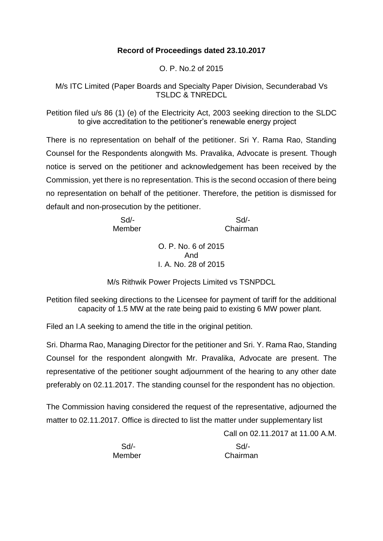## **Record of Proceedings dated 23.10.2017**

O. P. No.2 of 2015

M/s ITC Limited (Paper Boards and Specialty Paper Division, Secunderabad Vs TSLDC & TNREDCL

Petition filed u/s 86 (1) (e) of the Electricity Act, 2003 seeking direction to the SLDC to give accreditation to the petitioner's renewable energy project

There is no representation on behalf of the petitioner. Sri Y. Rama Rao, Standing Counsel for the Respondents alongwith Ms. Pravalika, Advocate is present. Though notice is served on the petitioner and acknowledgement has been received by the Commission, yet there is no representation. This is the second occasion of there being no representation on behalf of the petitioner. Therefore, the petition is dismissed for default and non-prosecution by the petitioner.

| Sd     | Sd/-     |
|--------|----------|
| Member | Chairman |

O. P. No. 6 of 2015 And I. A. No. 28 of 2015

M/s Rithwik Power Projects Limited vs TSNPDCL

Petition filed seeking directions to the Licensee for payment of tariff for the additional capacity of 1.5 MW at the rate being paid to existing 6 MW power plant.

Filed an I.A seeking to amend the title in the original petition.

Sri. Dharma Rao, Managing Director for the petitioner and Sri. Y. Rama Rao, Standing Counsel for the respondent alongwith Mr. Pravalika, Advocate are present. The representative of the petitioner sought adjournment of the hearing to any other date preferably on 02.11.2017. The standing counsel for the respondent has no objection.

The Commission having considered the request of the representative, adjourned the matter to 02.11.2017. Office is directed to list the matter under supplementary list

Call on 02.11.2017 at 11.00 A.M.

Sd/- Sd/-

Member Chairman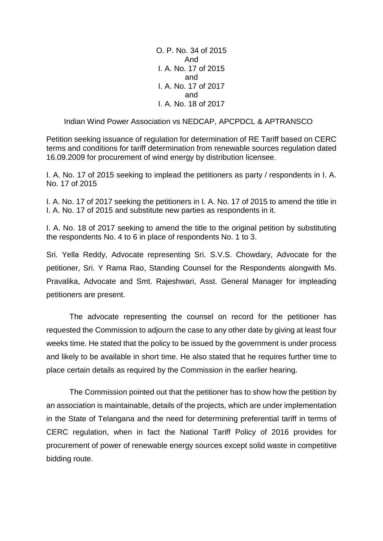O. P. No. 34 of 2015 And I. A. No. 17 of 2015 and I. A. No. 17 of 2017 and I. A. No. 18 of 2017

### Indian Wind Power Association vs NEDCAP, APCPDCL & APTRANSCO

Petition seeking issuance of regulation for determination of RE Tariff based on CERC terms and conditions for tariff determination from renewable sources regulation dated 16.09.2009 for procurement of wind energy by distribution licensee.

I. A. No. 17 of 2015 seeking to implead the petitioners as party / respondents in I. A. No. 17 of 2015

I. A. No. 17 of 2017 seeking the petitioners in I. A. No. 17 of 2015 to amend the title in I. A. No. 17 of 2015 and substitute new parties as respondents in it.

I. A. No. 18 of 2017 seeking to amend the title to the original petition by substituting the respondents No. 4 to 6 in place of respondents No. 1 to 3.

Sri. Yella Reddy, Advocate representing Sri. S.V.S. Chowdary, Advocate for the petitioner, Sri. Y Rama Rao, Standing Counsel for the Respondents alongwith Ms. Pravalika, Advocate and Smt. Rajeshwari, Asst. General Manager for impleading petitioners are present.

The advocate representing the counsel on record for the petitioner has requested the Commission to adjourn the case to any other date by giving at least four weeks time. He stated that the policy to be issued by the government is under process and likely to be available in short time. He also stated that he requires further time to place certain details as required by the Commission in the earlier hearing.

The Commission pointed out that the petitioner has to show how the petition by an association is maintainable, details of the projects, which are under implementation in the State of Telangana and the need for determining preferential tariff in terms of CERC regulation, when in fact the National Tariff Policy of 2016 provides for procurement of power of renewable energy sources except solid waste in competitive bidding route.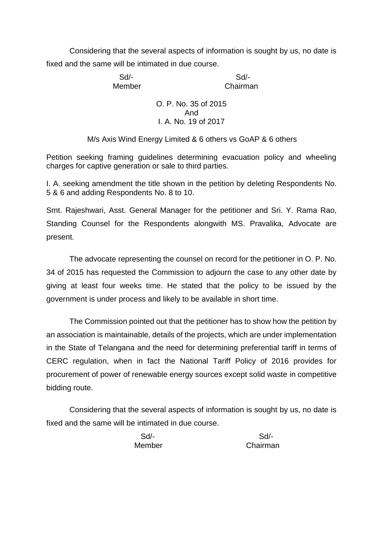Considering that the several aspects of information is sought by us, no date is fixed and the same will be intimated in due course.

Sd/- Sd/-

Member Chairman

## O. P. No. 35 of 2015 And I. A. No. 19 of 2017

M/s Axis Wind Energy Limited & 6 others vs GoAP & 6 others

Petition seeking framing guidelines determining evacuation policy and wheeling charges for captive generation or sale to third parties.

I. A. seeking amendment the title shown in the petition by deleting Respondents No. 5 & 6 and adding Respondents No. 8 to 10.

Smt. Rajeshwari, Asst. General Manager for the petitioner and Sri. Y. Rama Rao, Standing Counsel for the Respondents alongwith MS. Pravalika, Advocate are present.

The advocate representing the counsel on record for the petitioner in O. P. No. 34 of 2015 has requested the Commission to adjourn the case to any other date by giving at least four weeks time. He stated that the policy to be issued by the government is under process and likely to be available in short time.

The Commission pointed out that the petitioner has to show how the petition by an association is maintainable, details of the projects, which are under implementation in the State of Telangana and the need for determining preferential tariff in terms of CERC regulation, when in fact the National Tariff Policy of 2016 provides for procurement of power of renewable energy sources except solid waste in competitive bidding route.

Considering that the several aspects of information is sought by us, no date is fixed and the same will be intimated in due course.

| $Sd$ - | Sd       |
|--------|----------|
| Member | Chairman |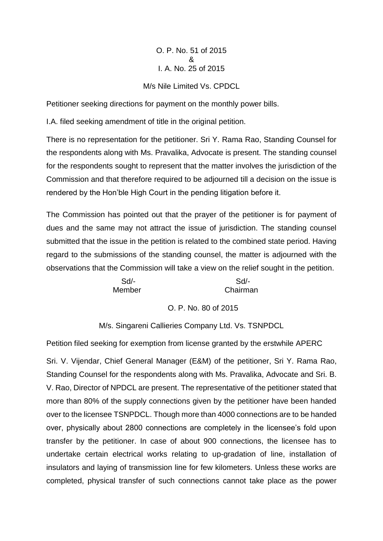# O. P. No. 51 of 2015 & I. A. No. 25 of 2015

## M/s Nile Limited Vs. CPDCL

Petitioner seeking directions for payment on the monthly power bills.

I.A. filed seeking amendment of title in the original petition.

There is no representation for the petitioner. Sri Y. Rama Rao, Standing Counsel for the respondents along with Ms. Pravalika, Advocate is present. The standing counsel for the respondents sought to represent that the matter involves the jurisdiction of the Commission and that therefore required to be adjourned till a decision on the issue is rendered by the Hon'ble High Court in the pending litigation before it.

The Commission has pointed out that the prayer of the petitioner is for payment of dues and the same may not attract the issue of jurisdiction. The standing counsel submitted that the issue in the petition is related to the combined state period. Having regard to the submissions of the standing counsel, the matter is adjourned with the observations that the Commission will take a view on the relief sought in the petition.

 Sd/- Sd/- Member Chairman

#### O. P. No. 80 of 2015

M/s. Singareni Callieries Company Ltd. Vs. TSNPDCL

Petition filed seeking for exemption from license granted by the erstwhile APERC

Sri. V. Vijendar, Chief General Manager (E&M) of the petitioner, Sri Y. Rama Rao, Standing Counsel for the respondents along with Ms. Pravalika, Advocate and Sri. B. V. Rao, Director of NPDCL are present. The representative of the petitioner stated that more than 80% of the supply connections given by the petitioner have been handed over to the licensee TSNPDCL. Though more than 4000 connections are to be handed over, physically about 2800 connections are completely in the licensee's fold upon transfer by the petitioner. In case of about 900 connections, the licensee has to undertake certain electrical works relating to up-gradation of line, installation of insulators and laying of transmission line for few kilometers. Unless these works are completed, physical transfer of such connections cannot take place as the power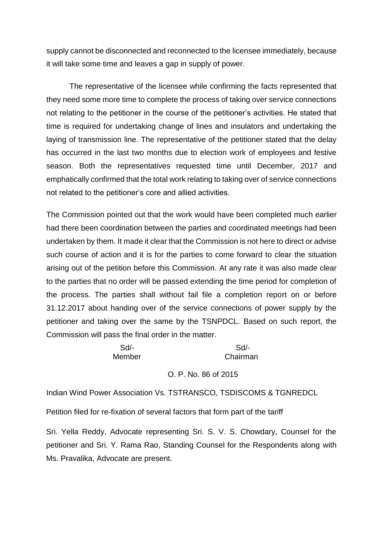supply cannot be disconnected and reconnected to the licensee immediately, because it will take some time and leaves a gap in supply of power.

The representative of the licensee while confirming the facts represented that they need some more time to complete the process of taking over service connections not relating to the petitioner in the course of the petitioner's activities. He stated that time is required for undertaking change of lines and insulators and undertaking the laying of transmission line. The representative of the petitioner stated that the delay has occurred in the last two months due to election work of employees and festive season. Both the representatives requested time until December, 2017 and emphatically confirmed that the total work relating to taking over of service connections not related to the petitioner's core and allied activities.

The Commission pointed out that the work would have been completed much earlier had there been coordination between the parties and coordinated meetings had been undertaken by them. It made it clear that the Commission is not here to direct or advise such course of action and it is for the parties to come forward to clear the situation arising out of the petition before this Commission. At any rate it was also made clear to the parties that no order will be passed extending the time period for completion of the process. The parties shall without fail file a completion report on or before 31.12.2017 about handing over of the service connections of power supply by the petitioner and taking over the same by the TSNPDCL. Based on such report, the Commission will pass the final order in the matter.

Sd/- Sd/-

Member Chairman

O. P. No. 86 of 2015

Indian Wind Power Association Vs. TSTRANSCO, TSDISCOMS & TGNREDCL

Petition filed for re-fixation of several factors that form part of the tariff

Sri. Yella Reddy, Advocate representing Sri. S. V. S. Chowdary, Counsel for the petitioner and Sri. Y. Rama Rao, Standing Counsel for the Respondents along with Ms. Pravalika, Advocate are present.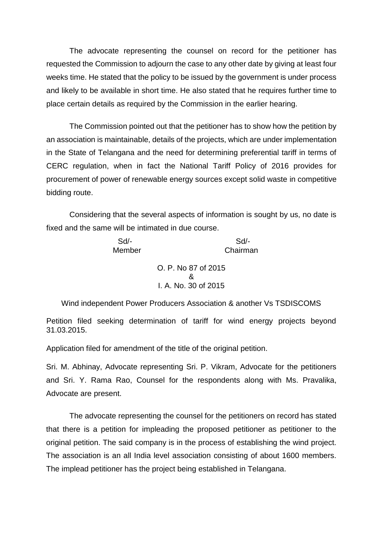The advocate representing the counsel on record for the petitioner has requested the Commission to adjourn the case to any other date by giving at least four weeks time. He stated that the policy to be issued by the government is under process and likely to be available in short time. He also stated that he requires further time to place certain details as required by the Commission in the earlier hearing.

The Commission pointed out that the petitioner has to show how the petition by an association is maintainable, details of the projects, which are under implementation in the State of Telangana and the need for determining preferential tariff in terms of CERC regulation, when in fact the National Tariff Policy of 2016 provides for procurement of power of renewable energy sources except solid waste in competitive bidding route.

Considering that the several aspects of information is sought by us, no date is fixed and the same will be intimated in due course.

 Sd/- Sd/- Member Chairman

> O. P. No 87 of 2015 & I. A. No. 30 of 2015

Wind independent Power Producers Association & another Vs TSDISCOMS

Petition filed seeking determination of tariff for wind energy projects beyond 31.03.2015.

Application filed for amendment of the title of the original petition.

Sri. M. Abhinay, Advocate representing Sri. P. Vikram, Advocate for the petitioners and Sri. Y. Rama Rao, Counsel for the respondents along with Ms. Pravalika, Advocate are present.

The advocate representing the counsel for the petitioners on record has stated that there is a petition for impleading the proposed petitioner as petitioner to the original petition. The said company is in the process of establishing the wind project. The association is an all India level association consisting of about 1600 members. The implead petitioner has the project being established in Telangana.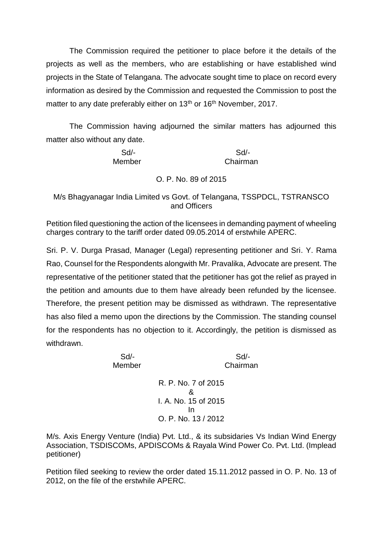The Commission required the petitioner to place before it the details of the projects as well as the members, who are establishing or have established wind projects in the State of Telangana. The advocate sought time to place on record every information as desired by the Commission and requested the Commission to post the matter to any date preferably either on 13<sup>th</sup> or 16<sup>th</sup> November, 2017.

The Commission having adjourned the similar matters has adjourned this matter also without any date.

 Sd/- Sd/- Member Chairman

## O. P. No. 89 of 2015

M/s Bhagyanagar India Limited vs Govt. of Telangana, TSSPDCL, TSTRANSCO and Officers

Petition filed questioning the action of the licensees in demanding payment of wheeling charges contrary to the tariff order dated 09.05.2014 of erstwhile APERC.

Sri. P. V. Durga Prasad, Manager (Legal) representing petitioner and Sri. Y. Rama Rao, Counsel for the Respondents alongwith Mr. Pravalika, Advocate are present. The representative of the petitioner stated that the petitioner has got the relief as prayed in the petition and amounts due to them have already been refunded by the licensee. Therefore, the present petition may be dismissed as withdrawn. The representative has also filed a memo upon the directions by the Commission. The standing counsel for the respondents has no objection to it. Accordingly, the petition is dismissed as withdrawn.

Sd/- Sd/-

Member Chairman

R. P. No. 7 of 2015 & I. A. No. 15 of 2015 In O. P. No. 13 / 2012

M/s. Axis Energy Venture (India) Pvt. Ltd., & its subsidaries Vs Indian Wind Energy Association, TSDISCOMs, APDISCOMs & Rayala Wind Power Co. Pvt. Ltd. (Implead petitioner)

Petition filed seeking to review the order dated 15.11.2012 passed in O. P. No. 13 of 2012, on the file of the erstwhile APERC.